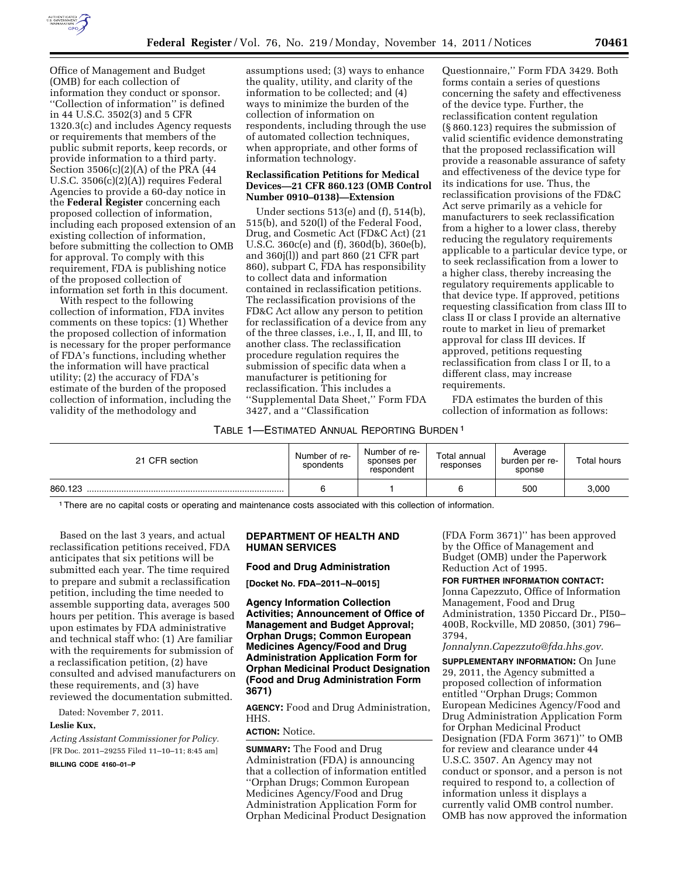

Office of Management and Budget (OMB) for each collection of information they conduct or sponsor. ''Collection of information'' is defined in 44 U.S.C. 3502(3) and 5 CFR 1320.3(c) and includes Agency requests or requirements that members of the public submit reports, keep records, or provide information to a third party. Section 3506(c)(2)(A) of the PRA (44 U.S.C. 3506(c)(2)(A)) requires Federal Agencies to provide a 60-day notice in the **Federal Register** concerning each proposed collection of information, including each proposed extension of an existing collection of information, before submitting the collection to OMB for approval. To comply with this requirement, FDA is publishing notice of the proposed collection of information set forth in this document.

With respect to the following collection of information, FDA invites comments on these topics: (1) Whether the proposed collection of information is necessary for the proper performance of FDA's functions, including whether the information will have practical utility; (2) the accuracy of FDA's estimate of the burden of the proposed collection of information, including the validity of the methodology and

assumptions used; (3) ways to enhance the quality, utility, and clarity of the information to be collected; and (4) ways to minimize the burden of the collection of information on respondents, including through the use of automated collection techniques, when appropriate, and other forms of information technology.

#### **Reclassification Petitions for Medical Devices—21 CFR 860.123 (OMB Control Number 0910–0138)—Extension**

Under sections 513(e) and (f), 514(b), 515(b), and 520(l) of the Federal Food, Drug, and Cosmetic Act (FD&C Act) (21 U.S.C. 360c(e) and (f), 360d(b), 360e(b), and 360j(l)) and part 860 (21 CFR part 860), subpart C, FDA has responsibility to collect data and information contained in reclassification petitions. The reclassification provisions of the FD&C Act allow any person to petition for reclassification of a device from any of the three classes, i.e., I, II, and III, to another class. The reclassification procedure regulation requires the submission of specific data when a manufacturer is petitioning for reclassification. This includes a ''Supplemental Data Sheet,'' Form FDA 3427, and a ''Classification

Questionnaire,'' Form FDA 3429. Both forms contain a series of questions concerning the safety and effectiveness of the device type. Further, the reclassification content regulation (§ 860.123) requires the submission of valid scientific evidence demonstrating that the proposed reclassification will provide a reasonable assurance of safety and effectiveness of the device type for its indications for use. Thus, the reclassification provisions of the FD&C Act serve primarily as a vehicle for manufacturers to seek reclassification from a higher to a lower class, thereby reducing the regulatory requirements applicable to a particular device type, or to seek reclassification from a lower to a higher class, thereby increasing the regulatory requirements applicable to that device type. If approved, petitions requesting classification from class III to class II or class I provide an alternative route to market in lieu of premarket approval for class III devices. If approved, petitions requesting reclassification from class I or II, to a different class, may increase requirements.

FDA estimates the burden of this collection of information as follows:

## TABLE 1—ESTIMATED ANNUAL REPORTING BURDEN 1

| 21 CFR section | Number of re-<br>spondents | Number of re-<br>sponses per<br>respondent | Total annual<br>responses | Average<br>burden per re-<br>sponse | Total hours |
|----------------|----------------------------|--------------------------------------------|---------------------------|-------------------------------------|-------------|
| 860.123        |                            |                                            |                           | 500                                 | 3,000       |

1There are no capital costs or operating and maintenance costs associated with this collection of information.

Based on the last 3 years, and actual reclassification petitions received, FDA anticipates that six petitions will be submitted each year. The time required to prepare and submit a reclassification petition, including the time needed to assemble supporting data, averages 500 hours per petition. This average is based upon estimates by FDA administrative and technical staff who: (1) Are familiar with the requirements for submission of a reclassification petition, (2) have consulted and advised manufacturers on these requirements, and (3) have reviewed the documentation submitted.

Dated: November 7, 2011.

#### **Leslie Kux,**

*Acting Assistant Commissioner for Policy.*  [FR Doc. 2011–29255 Filed 11–10–11; 8:45 am] **BILLING CODE 4160–01–P** 

# **DEPARTMENT OF HEALTH AND HUMAN SERVICES**

**Food and Drug Administration** 

**[Docket No. FDA–2011–N–0015]** 

**Agency Information Collection Activities; Announcement of Office of Management and Budget Approval; Orphan Drugs; Common European Medicines Agency/Food and Drug Administration Application Form for Orphan Medicinal Product Designation (Food and Drug Administration Form 3671)** 

**AGENCY:** Food and Drug Administration, HHS.

# **ACTION:** Notice.

**SUMMARY:** The Food and Drug Administration (FDA) is announcing that a collection of information entitled ''Orphan Drugs; Common European Medicines Agency/Food and Drug Administration Application Form for Orphan Medicinal Product Designation

(FDA Form 3671)'' has been approved by the Office of Management and Budget (OMB) under the Paperwork Reduction Act of 1995.

**FOR FURTHER INFORMATION CONTACT:**  Jonna Capezzuto, Office of Information Management, Food and Drug Administration, 1350 Piccard Dr., PI50– 400B, Rockville, MD 20850, (301) 796– 3794,

### *[Jonnalynn.Capezzuto@fda.hhs.gov.](mailto:Jonnalynn.Capezzuto@fda.hhs.gov)*

**SUPPLEMENTARY INFORMATION:** On June 29, 2011, the Agency submitted a proposed collection of information entitled ''Orphan Drugs; Common European Medicines Agency/Food and Drug Administration Application Form for Orphan Medicinal Product Designation (FDA Form 3671)'' to OMB for review and clearance under 44 U.S.C. 3507. An Agency may not conduct or sponsor, and a person is not required to respond to, a collection of information unless it displays a currently valid OMB control number. OMB has now approved the information